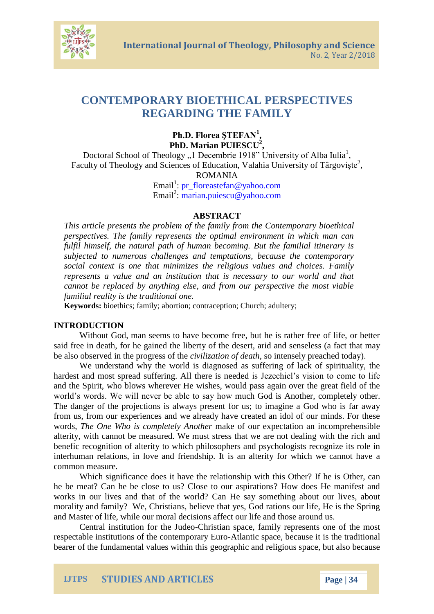

# **CONTEMPORARY BIOETHICAL PERSPECTIVES REGARDING THE FAMILY**

**Ph.D. Florea ŞTEFAN<sup>1</sup> , PhD. Marian PUIESCU<sup>2</sup> ,** 

Doctoral School of Theology "1 Decembrie 1918" University of Alba Iulia<sup>1</sup>, Faculty of Theology and Sciences of Education, Valahia University of Târgoviște<sup>2</sup>, ROMANIA

> Email<sup>1</sup>: [pr\\_floreastefan@yahoo.com](mailto:pr_floreastefan@yahoo.com) Email<sup>2</sup>: [marian.puiescu@yahoo.com](mailto:marian.puiescu@yahoo.com)

### **ABSTRACT**

*This article presents the problem of the family from the Contemporary bioethical perspectives. The family represents the optimal environment in which man can fulfil himself, the natural path of human becoming. But the familial itinerary is subjected to numerous challenges and temptations, because the contemporary social context is one that minimizes the religious values and choices. Family represents a value and an institution that is necessary to our world and that cannot be replaced by anything else, and from our perspective the most viable familial reality is the traditional one.* 

**Keywords:** bioethics; family; abortion; contraception; Church; adultery;

### **INTRODUCTION**

Without God, man seems to have become free, but he is rather free of life, or better said free in death, for he gained the liberty of the desert, arid and senseless (a fact that may be also observed in the progress of the *civilization of death*, so intensely preached today).

We understand why the world is diagnosed as suffering of lack of spirituality, the hardest and most spread suffering. All there is needed is Jezechiel's vision to come to life and the Spirit, who blows wherever He wishes, would pass again over the great field of the world's words. We will never be able to say how much God is Another, completely other. The danger of the projections is always present for us; to imagine a God who is far away from us, from our experiences and we already have created an idol of our minds. For these words, *The One Who is completely Another* make of our expectation an incomprehensible alterity, with cannot be measured. We must stress that we are not dealing with the rich and benefic recognition of alterity to which philosophers and psychologists recognize its role in interhuman relations, in love and friendship. It is an alterity for which we cannot have a common measure.

Which significance does it have the relationship with this Other? If he is Other, can he be meat? Can he be close to us? Close to our aspirations? How does He manifest and works in our lives and that of the world? Can He say something about our lives, about morality and family? We, Christians, believe that yes, God rations our life, He is the Spring and Master of life, while our moral decisions affect our life and those around us.

Central institution for the Judeo-Christian space, family represents one of the most respectable institutions of the contemporary Euro-Atlantic space, because it is the traditional bearer of the fundamental values within this geographic and religious space, but also because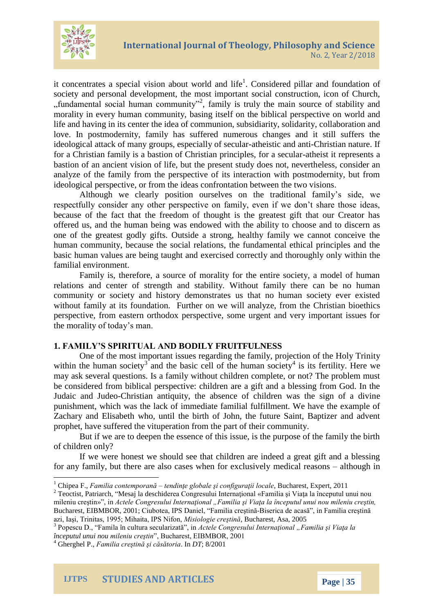

it concentrates a special vision about world and life<sup>1</sup>. Considered pillar and foundation of society and personal development, the most important social construction, icon of Church, "fundamental social human community"<sup>2</sup>, family is truly the main source of stability and morality in every human community, basing itself on the biblical perspective on world and life and having in its center the idea of communion, subsidiarity, solidarity, collaboration and love. In postmodernity, family has suffered numerous changes and it still suffers the ideological attack of many groups, especially of secular-atheistic and anti-Christian nature. If for a Christian family is a bastion of Christian principles, for a secular-atheist it represents a bastion of an ancient vision of life, but the present study does not, nevertheless, consider an analyze of the family from the perspective of its interaction with postmodernity, but from ideological perspective, or from the ideas confrontation between the two visions.

Although we clearly position ourselves on the traditional family's side, we respectfully consider any other perspective on family, even if we don't share those ideas, because of the fact that the freedom of thought is the greatest gift that our Creator has offered us, and the human being was endowed with the ability to choose and to discern as one of the greatest godly gifts. Outside a strong, healthy family we cannot conceive the human community, because the social relations, the fundamental ethical principles and the basic human values are being taught and exercised correctly and thoroughly only within the familial environment.

Family is, therefore, a source of morality for the entire society, a model of human relations and center of strength and stability. Without family there can be no human community or society and history demonstrates us that no human society ever existed without family at its foundation. Further on we will analyze, from the Christian bioethics perspective, from eastern orthodox perspective, some urgent and very important issues for the morality of today's man.

### **1. FAMILY'S SPIRITUAL AND BODILY FRUITFULNESS**

One of the most important issues regarding the family, projection of the Holy Trinity within the human society<sup>3</sup> and the basic cell of the human society<sup>4</sup> is its fertility. Here we may ask several questions. Is a family without children complete, or not? The problem must be considered from biblical perspective: children are a gift and a blessing from God. In the Judaic and Judeo-Christian antiquity, the absence of children was the sign of a divine punishment, which was the lack of immediate familial fulfillment. We have the example of Zachary and Elisabeth who, until the birth of John, the future Saint, Baptizer and advent prophet, have suffered the vituperation from the part of their community.

But if we are to deepen the essence of this issue, is the purpose of the family the birth of children only?

If we were honest we should see that children are indeed a great gift and a blessing for any family, but there are also cases when for exclusively medical reasons – although in

<sup>3</sup> Popescu D., "Famila în cultura secularizată", in *Actele Congresului Internațional "Familia și Viața la începutul unui nou mileniu creştin*", Bucharest, EIBMBOR, 2001

 $\ddot{\phantom{a}}$ <sup>1</sup> Chipea F., *Familia contemporană – tendinţe globale şi configuraţii locale*, Bucharest, Expert, 2011

<sup>2</sup> Teoctist, Patriarch, "Mesaj la deschiderea Congresului Internaţional «Familia şi Viaţa la începutul unui nou mileniu creştin»", in *Actele Congresului Internaţional "Familia şi Viaţa la începutul unui nou mileniu creştin,* Bucharest, EIBMBOR, 2001; Ciubotea, IPS Daniel, "Familia creştină-Biserica de acasă", in Familia creştină azi, Iaşi, Trinitas, 1995; Mihaita, IPS Nifon, *Misiologie creştină*, Bucharest, Asa, 2005

<sup>4</sup> Gherghel P., *Familia creştină şi căsătoria*. In *DT*; 8/2001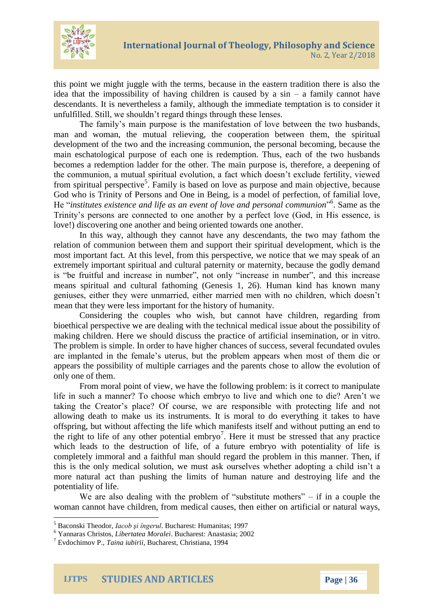

this point we might juggle with the terms, because in the eastern tradition there is also the idea that the impossibility of having children is caused by a sin – a family cannot have descendants. It is nevertheless a family, although the immediate temptation is to consider it unfulfilled. Still, we shouldn't regard things through these lenses.

The family's main purpose is the manifestation of love between the two husbands, man and woman, the mutual relieving, the cooperation between them, the spiritual development of the two and the increasing communion, the personal becoming, because the main eschatological purpose of each one is redemption. Thus, each of the two husbands becomes a redemption ladder for the other. The main purpose is, therefore, a deepening of the communion, a mutual spiritual evolution, a fact which doesn't exclude fertility, viewed from spiritual perspective<sup>5</sup>. Family is based on love as purpose and main objective, because God who is Trinity of Persons and One in Being, is a model of perfection, of familial love, He "*institutes existence and life as an event of love and personal communion*". Same as the Trinity's persons are connected to one another by a perfect love (God, in His essence, is love!) discovering one another and being oriented towards one another.

In this way, although they cannot have any descendants, the two may fathom the relation of communion between them and support their spiritual development, which is the most important fact. At this level, from this perspective, we notice that we may speak of an extremely important spiritual and cultural paternity or maternity, because the godly demand is "be fruitful and increase in number", not only "increase in number", and this increase means spiritual and cultural fathoming (Genesis 1, 26). Human kind has known many geniuses, either they were unmarried, either married men with no children, which doesn't mean that they were less important for the history of humanity.

Considering the couples who wish, but cannot have children, regarding from bioethical perspective we are dealing with the technical medical issue about the possibility of making children. Here we should discuss the practice of artificial insemination, or in vitro. The problem is simple. In order to have higher chances of success, several fecundated ovules are implanted in the female's uterus, but the problem appears when most of them die or appears the possibility of multiple carriages and the parents chose to allow the evolution of only one of them.

From moral point of view, we have the following problem: is it correct to manipulate life in such a manner? To choose which embryo to live and which one to die? Aren't we taking the Creator's place? Of course, we are responsible with protecting life and not allowing death to make us its instruments. It is moral to do everything it takes to have offspring, but without affecting the life which manifests itself and without putting an end to the right to life of any other potential embryo<sup>7</sup>. Here it must be stressed that any practice which leads to the destruction of life, of a future embryo with potentiality of life is completely immoral and a faithful man should regard the problem in this manner. Then, if this is the only medical solution, we must ask ourselves whether adopting a child isn't a more natural act than pushing the limits of human nature and destroying life and the potentiality of life.

We are also dealing with the problem of "substitute mothers"  $-$  if in a couple the woman cannot have children, from medical causes, then either on artificial or natural ways,

 $\ddot{\phantom{a}}$ 

**IJTPS STUDIES AND ARTICLES Page | 36**

<sup>5</sup> Baconski Theodor, *Iacob şi îngerul*. Bucharest: Humanitas; 1997

<sup>6</sup> Yannaras Christos, *Libertatea Moralei*. Bucharest: Anastasia; 2002

<sup>7</sup> Evdochimov P., *Taina iubirii*, Bucharest, Christiana, 1994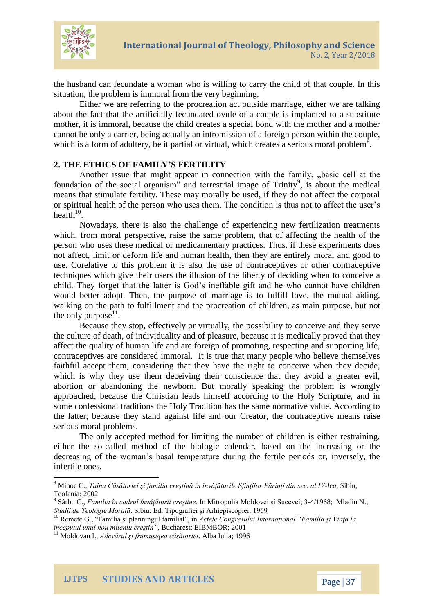

the husband can fecundate a woman who is willing to carry the child of that couple. In this situation, the problem is immoral from the very beginning.

Either we are referring to the procreation act outside marriage, either we are talking about the fact that the artificially fecundated ovule of a couple is implanted to a substitute mother, it is immoral, because the child creates a special bond with the mother and a mother cannot be only a carrier, being actually an intromission of a foreign person within the couple, which is a form of adultery, be it partial or virtual, which creates a serious moral problem<sup>8</sup>.

## **2. THE ETHICS OF FAMILY'S FERTILITY**

Another issue that might appear in connection with the family, "basic cell at the foundation of the social organism" and terrestrial image of Trinity<sup>9</sup>, is about the medical means that stimulate fertility. These may morally be used, if they do not affect the corporal or spiritual health of the person who uses them. The condition is thus not to affect the user's health $10$ .

Nowadays, there is also the challenge of experiencing new fertilization treatments which, from moral perspective, raise the same problem, that of affecting the health of the person who uses these medical or medicamentary practices. Thus, if these experiments does not affect, limit or deform life and human health, then they are entirely moral and good to use. Corelative to this problem it is also the use of contraceptives or other contraceptive techniques which give their users the illusion of the liberty of deciding when to conceive a child. They forget that the latter is God's ineffable gift and he who cannot have children would better adopt. Then, the purpose of marriage is to fulfill love, the mutual aiding, walking on the path to fulfillment and the procreation of children, as main purpose, but not the only purpose<sup>11</sup>.

Because they stop, effectively or virtually, the possibility to conceive and they serve the culture of death, of individuality and of pleasure, because it is medically proved that they affect the quality of human life and are foreign of promoting, respecting and supporting life, contraceptives are considered immoral. It is true that many people who believe themselves faithful accept them, considering that they have the right to conceive when they decide, which is why they use them deceiving their conscience that they avoid a greater evil, abortion or abandoning the newborn. But morally speaking the problem is wrongly approached, because the Christian leads himself according to the Holy Scripture, and in some confessional traditions the Holy Tradition has the same normative value. According to the latter, because they stand against life and our Creator, the contraceptive means raise serious moral problems.

The only accepted method for limiting the number of children is either restraining, either the so-called method of the biologic calendar, based on the increasing or the decreasing of the woman's basal temperature during the fertile periods or, inversely, the infertile ones.

 $\ddot{\phantom{a}}$ 

<sup>8</sup> Mihoc C., *Taina Căsătoriei şi familia creştină în învăţăturile Sfinţilor Părinţi din sec. al IV-lea*, Sibiu, Teofania; 2002

<sup>9</sup> Sârbu C., *Familia în cadrul învăţăturii creştine*. In Mitropolia Moldovei şi Sucevei; 3-4/1968; Mladin N., *Studii de Teologie Morală*. Sibiu: Ed. Tipografiei şi Arhiepiscopiei; 1969

<sup>10</sup> Remete G., "Familia şi planningul familial", in *Actele Congresului Internaţional "Familia şi Viaţa la începutul unui nou mileniu creştin"*, Bucharest: EIBMBOR; 2001

<sup>11</sup> Moldovan I., *Adevărul şi frumuseţea căsătoriei*. Alba Iulia; 1996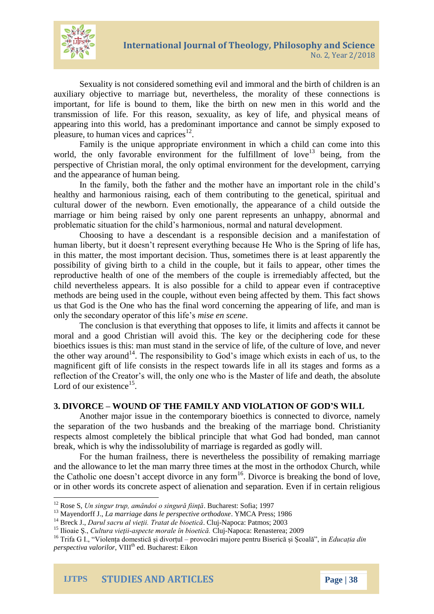

Sexuality is not considered something evil and immoral and the birth of children is an auxiliary objective to marriage but, nevertheless, the morality of these connections is important, for life is bound to them, like the birth on new men in this world and the transmission of life. For this reason, sexuality, as key of life, and physical means of appearing into this world, has a predominant importance and cannot be simply exposed to pleasure, to human vices and caprices $^{12}$ .

Family is the unique appropriate environment in which a child can come into this world, the only favorable environment for the fulfillment of love<sup>13</sup> being, from the perspective of Christian moral, the only optimal environment for the development, carrying and the appearance of human being.

In the family, both the father and the mother have an important role in the child's healthy and harmonious raising, each of them contributing to the genetical, spiritual and cultural dower of the newborn. Even emotionally, the appearance of a child outside the marriage or him being raised by only one parent represents an unhappy, abnormal and problematic situation for the child's harmonious, normal and natural development.

Choosing to have a descendant is a responsible decision and a manifestation of human liberty, but it doesn't represent everything because He Who is the Spring of life has, in this matter, the most important decision. Thus, sometimes there is at least apparently the possibility of giving birth to a child in the couple, but it fails to appear, other times the reproductive health of one of the members of the couple is irremediably affected, but the child nevertheless appears. It is also possible for a child to appear even if contraceptive methods are being used in the couple, without even being affected by them. This fact shows us that God is the One who has the final word concerning the appearing of life, and man is only the secondary operator of this life's *mise en scene*.

The conclusion is that everything that opposes to life, it limits and affects it cannot be moral and a good Christian will avoid this. The key or the deciphering code for these bioethics issues is this: man must stand in the service of life, of the culture of love, and never the other way around<sup>14</sup>. The responsibility to God's image which exists in each of us, to the magnificent gift of life consists in the respect towards life in all its stages and forms as a reflection of the Creator's will, the only one who is the Master of life and death, the absolute Lord of our existence $^{15}$ .

# **3. DIVORCE – WOUND OF THE FAMILY AND VIOLATION OF GOD'S WILL**

Another major issue in the contemporary bioethics is connected to divorce, namely the separation of the two husbands and the breaking of the marriage bond. Christianity respects almost completely the biblical principle that what God had bonded, man cannot break, which is why the indissolubility of marriage is regarded as godly will.

For the human frailness, there is nevertheless the possibility of remaking marriage and the allowance to let the man marry three times at the most in the orthodox Church, while the Catholic one doesn't accept divorce in any form<sup>16</sup>. Divorce is breaking the bond of love, or in other words its concrete aspect of alienation and separation. Even if in certain religious

 $\overline{a}$ <sup>12</sup> Rose S, *Un singur trup, amândoi o singură fiinţă*. Bucharest: Sofia; 1997

<sup>13</sup> Mayendorff J., *La marriage dans le perspective orthodoxe*. YMCA Press; 1986

<sup>14</sup> Breck J., *Darul sacru al vieţii. Tratat de bioetică*. Cluj-Napoca: Patmos; 2003

<sup>15</sup> Ilioaie Ş., *Cultura vieţii-aspecte morale în bioetică.* Cluj-Napoca: Renasterea; 2009

<sup>16</sup> Trifa G I., "Violența domestică și divorțul – provocări majore pentru Biserică și Școală", in *Educația din perspectiva valorilor*, VIII<sup>th</sup> ed. Bucharest: Eikon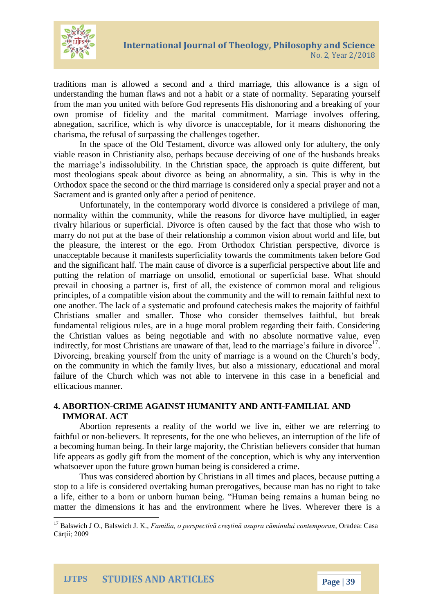

traditions man is allowed a second and a third marriage, this allowance is a sign of understanding the human flaws and not a habit or a state of normality. Separating yourself from the man you united with before God represents His dishonoring and a breaking of your own promise of fidelity and the marital commitment. Marriage involves offering, abnegation, sacrifice, which is why divorce is unacceptable, for it means dishonoring the charisma, the refusal of surpassing the challenges together.

In the space of the Old Testament, divorce was allowed only for adultery, the only viable reason in Christianity also, perhaps because deceiving of one of the husbands breaks the marriage's indissolubility. In the Christian space, the approach is quite different, but most theologians speak about divorce as being an abnormality, a sin. This is why in the Orthodox space the second or the third marriage is considered only a special prayer and not a Sacrament and is granted only after a period of penitence.

Unfortunately, in the contemporary world divorce is considered a privilege of man, normality within the community, while the reasons for divorce have multiplied, in eager rivalry hilarious or superficial. Divorce is often caused by the fact that those who wish to marry do not put at the base of their relationship a common vision about world and life, but the pleasure, the interest or the ego. From Orthodox Christian perspective, divorce is unacceptable because it manifests superficiality towards the commitments taken before God and the significant half. The main cause of divorce is a superficial perspective about life and putting the relation of marriage on unsolid, emotional or superficial base. What should prevail in choosing a partner is, first of all, the existence of common moral and religious principles, of a compatible vision about the community and the will to remain faithful next to one another. The lack of a systematic and profound catechesis makes the majority of faithful Christians smaller and smaller. Those who consider themselves faithful, but break fundamental religious rules, are in a huge moral problem regarding their faith. Considering the Christian values as being negotiable and with no absolute normative value, even indirectly, for most Christians are unaware of that, lead to the marriage's failure in divorce<sup>17</sup>. Divorcing, breaking yourself from the unity of marriage is a wound on the Church's body, on the community in which the family lives, but also a missionary, educational and moral failure of the Church which was not able to intervene in this case in a beneficial and efficacious manner.

# **4. ABORTION-CRIME AGAINST HUMANITY AND ANTI-FAMILIAL AND IMMORAL ACT**

Abortion represents a reality of the world we live in, either we are referring to faithful or non-believers. It represents, for the one who believes, an interruption of the life of a becoming human being. In their large majority, the Christian believers consider that human life appears as godly gift from the moment of the conception, which is why any intervention whatsoever upon the future grown human being is considered a crime.

Thus was considered abortion by Christians in all times and places, because putting a stop to a life is considered overtaking human prerogatives, because man has no right to take a life, either to a born or unborn human being. "Human being remains a human being no matter the dimensions it has and the environment where he lives. Wherever there is a

 $\ddot{\phantom{a}}$ 

<sup>17</sup> Balswich J O., Balswich J. K., *Familia, o perspectivă creştină asupra căminului contemporan*, Oradea: Casa Cărtii: 2009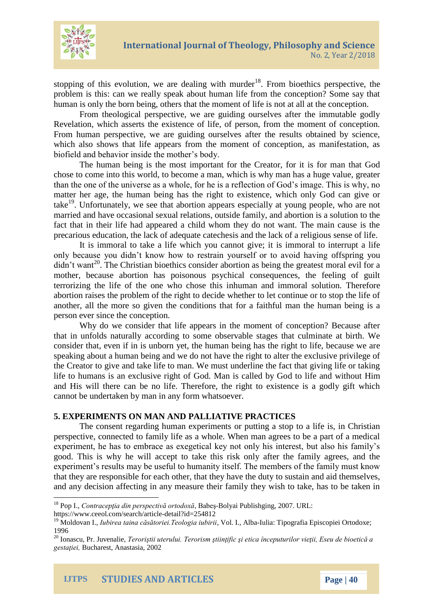

stopping of this evolution, we are dealing with murder<sup>18</sup>. From bioethics perspective, the problem is this: can we really speak about human life from the conception? Some say that human is only the born being, others that the moment of life is not at all at the conception.

From theological perspective, we are guiding ourselves after the immutable godly Revelation, which asserts the existence of life, of person, from the moment of conception. From human perspective, we are guiding ourselves after the results obtained by science, which also shows that life appears from the moment of conception, as manifestation, as biofield and behavior inside the mother's body.

The human being is the most important for the Creator, for it is for man that God chose to come into this world, to become a man, which is why man has a huge value, greater than the one of the universe as a whole, for he is a reflection of God's image. This is why, no matter her age, the human being has the right to existence, which only God can give or take<sup>19</sup>. Unfortunately, we see that abortion appears especially at young people, who are not married and have occasional sexual relations, outside family, and abortion is a solution to the fact that in their life had appeared a child whom they do not want. The main cause is the precarious education, the lack of adequate catechesis and the lack of a religious sense of life.

It is immoral to take a life which you cannot give; it is immoral to interrupt a life only because you didn't know how to restrain yourself or to avoid having offspring you  $\dim$ <sup>20</sup>. The Christian bioethics consider abortion as being the greatest moral evil for a mother, because abortion has poisonous psychical consequences, the feeling of guilt terrorizing the life of the one who chose this inhuman and immoral solution. Therefore abortion raises the problem of the right to decide whether to let continue or to stop the life of another, all the more so given the conditions that for a faithful man the human being is a person ever since the conception.

Why do we consider that life appears in the moment of conception? Because after that in unfolds naturally according to some observable stages that culminate at birth. We consider that, even if in is unborn yet, the human being has the right to life, because we are speaking about a human being and we do not have the right to alter the exclusive privilege of the Creator to give and take life to man. We must underline the fact that giving life or taking life to humans is an exclusive right of God. Man is called by God to life and without Him and His will there can be no life. Therefore, the right to existence is a godly gift which cannot be undertaken by man in any form whatsoever.

### **5. EXPERIMENTS ON MAN AND PALLIATIVE PRACTICES**

The consent regarding human experiments or putting a stop to a life is, in Christian perspective, connected to family life as a whole. When man agrees to be a part of a medical experiment, he has to embrace as exegetical key not only his interest, but also his family's good. This is why he will accept to take this risk only after the family agrees, and the experiment's results may be useful to humanity itself. The members of the family must know that they are responsible for each other, that they have the duty to sustain and aid themselves, and any decision affecting in any measure their family they wish to take, has to be taken in

 $\overline{a}$ 

<sup>18</sup> Pop I., *Contracepţia din perspectivă ortodoxă*, Babeş-Bolyai Publishging, 2007. URL:

https://www.ceeol.com/search/article-detail?id=254812

<sup>19</sup> Moldovan I., *Iubirea taina căsătoriei.Teologia iubirii*, Vol. I., Alba-Iulia: Tipografia Episcopiei Ortodoxe; 1996

<sup>20</sup> Ionascu, Pr. Juvenalie, *Teroriştii uterului. Terorism ştiinţific şi etica începuturilor vieţii, Eseu de bioetică a gestaţiei,* Bucharest, Anastasia, 2002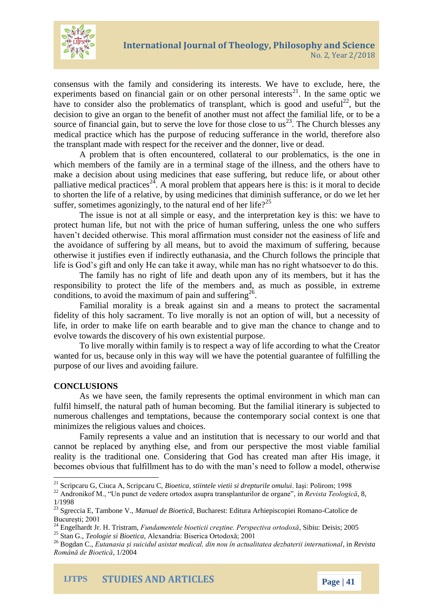

consensus with the family and considering its interests. We have to exclude, here, the experiments based on financial gain or on other personal interests $^{21}$ . In the same optic we have to consider also the problematics of transplant, which is good and useful<sup>22</sup>, but the decision to give an organ to the benefit of another must not affect the familial life, or to be a source of financial gain, but to serve the love for those close to  $\text{us}^{23}$ . The Church blesses any medical practice which has the purpose of reducing sufferance in the world, therefore also the transplant made with respect for the receiver and the donner, live or dead.

A problem that is often encountered, collateral to our problematics, is the one in which members of the family are in a terminal stage of the illness, and the others have to make a decision about using medicines that ease suffering, but reduce life, or about other palliative medical practices<sup>24</sup>. A moral problem that appears here is this: is it moral to decide to shorten the life of a relative, by using medicines that diminish sufferance, or do we let her suffer, sometimes agonizingly, to the natural end of her life?<sup>25</sup>

The issue is not at all simple or easy, and the interpretation key is this: we have to protect human life, but not with the price of human suffering, unless the one who suffers haven't decided otherwise. This moral affirmation must consider not the easiness of life and the avoidance of suffering by all means, but to avoid the maximum of suffering, because otherwise it justifies even if indirectly euthanasia, and the Church follows the principle that life is God's gift and only He can take it away, while man has no right whatsoever to do this.

The family has no right of life and death upon any of its members, but it has the responsibility to protect the life of the members and, as much as possible, in extreme conditions, to avoid the maximum of pain and suffering<sup>26</sup>.

Familial morality is a break against sin and a means to protect the sacramental fidelity of this holy sacrament. To live morally is not an option of will, but a necessity of life, in order to make life on earth bearable and to give man the chance to change and to evolve towards the discovery of his own existential purpose.

To live morally within family is to respect a way of life according to what the Creator wanted for us, because only in this way will we have the potential guarantee of fulfilling the purpose of our lives and avoiding failure.

### **CONCLUSIONS**

 $\ddot{\phantom{a}}$ 

As we have seen, the family represents the optimal environment in which man can fulfil himself, the natural path of human becoming. But the familial itinerary is subjected to numerous challenges and temptations, because the contemporary social context is one that minimizes the religious values and choices.

Family represents a value and an institution that is necessary to our world and that cannot be replaced by anything else, and from our perspective the most viable familial reality is the traditional one. Considering that God has created man after His image, it becomes obvious that fulfillment has to do with the man's need to follow a model, otherwise

<sup>21</sup> Scripcaru G, Ciuca A, Scripcaru C, *Bioetica, stiintele vietii si drepturile omului*. Iaşi: Polirom; 1998

<sup>22</sup> Andronikof M., "Un punct de vedere ortodox asupra transplanturilor de organe", in *Revista Teologică*, 8, 1/1998

<sup>23</sup> Sgreccia E, Tambone V., *Manual de Bioeticã*, Bucharest: Editura Arhiepiscopiei Romano-Catolice de București; 2001

<sup>24</sup> Engelhardt Jr. H. Tristram, *Fundamentele bioeticii creştine. Perspectiva ortodoxă*, Sibiu: Deisis; 2005

<sup>25</sup> Stan G., *Teologie si Bioetica,* Alexandria: Biserica Ortodoxă; 2001

<sup>26</sup> Bogdan C., *Eutanasia şi suicidul asistat medical, din nou în actualitatea dezbaterii international*, in *Revista Română de Bioetică*, 1/2004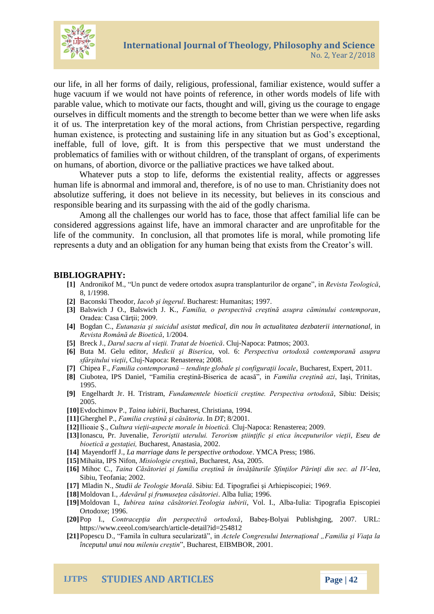

our life, in all her forms of daily, religious, professional, familiar existence, would suffer a huge vacuum if we would not have points of reference, in other words models of life with parable value, which to motivate our facts, thought and will, giving us the courage to engage ourselves in difficult moments and the strength to become better than we were when life asks it of us. The interpretation key of the moral actions, from Christian perspective, regarding human existence, is protecting and sustaining life in any situation but as God's exceptional, ineffable, full of love, gift. It is from this perspective that we must understand the problematics of families with or without children, of the transplant of organs, of experiments on humans, of abortion, divorce or the palliative practices we have talked about.

Whatever puts a stop to life, deforms the existential reality, affects or aggresses human life is abnormal and immoral and, therefore, is of no use to man. Christianity does not absolutize suffering, it does not believe in its necessity, but believes in its conscious and responsible bearing and its surpassing with the aid of the godly charisma.

Among all the challenges our world has to face, those that affect familial life can be considered aggressions against life, have an immoral character and are unprofitable for the life of the community. In conclusion, all that promotes life is moral, while promoting life represents a duty and an obligation for any human being that exists from the Creator's will.

### **BIBLIOGRAPHY:**

- **[1]** Andronikof M., "Un punct de vedere ortodox asupra transplanturilor de organe", in *Revista Teologică*, 8, 1/1998.
- **[2]** Baconski Theodor, *Iacob şi îngerul*. Bucharest: Humanitas; 1997.
- **[3]** Balswich J O., Balswich J. K., *Familia, o perspectivă creştină asupra căminului contemporan*, Oradea: Casa Cărţii; 2009.
- **[4]** Bogdan C., *Eutanasia şi suicidul asistat medical, din nou în actualitatea dezbaterii international*, in *Revista Română de Bioetică*, 1/2004.
- **[5]** Breck J., *Darul sacru al vieţii. Tratat de bioetică*. Cluj-Napoca: Patmos; 2003.
- **[6]** Buta M. Gelu editor, *Medicii şi Biserica*, vol. 6: *Perspectiva ortodoxă contemporană asupra sfârşitului vieţii*, Cluj-Napoca: Renasterea; 2008.
- **[7]** Chipea F., *Familia contemporană – tendinţe globale şi configuraţii locale*, Bucharest, Expert, 2011.
- **[8]** Ciubotea, IPS Daniel, "Familia creştină-Biserica de acasă", in *Familia creştină azi*, Iaşi, Trinitas, 1995.
- **[9]** Engelhardt Jr. H. Tristram, *Fundamentele bioeticii creştine. Perspectiva ortodoxă*, Sibiu: Deisis; 2005.
- **[10]**Evdochimov P., *Taina iubirii*, Bucharest, Christiana, 1994.
- **[11]**Gherghel P., *Familia creştină şi căsătoria*. In *DT*; 8/2001.
- **[12]**Ilioaie Ş., *Cultura vieţii-aspecte morale în bioetică.* Cluj-Napoca: Renasterea; 2009.
- **[13]**Ionascu, Pr. Juvenalie, *Teroriştii uterului. Terorism ştiinţific şi etica începuturilor vieţii, Eseu de bioetică a gestaţiei,* Bucharest, Anastasia, 2002.
- **[14]** Mayendorff J., *La marriage dans le perspective orthodoxe*. YMCA Press; 1986.
- **[15]**Mihaita, IPS Nifon, *Misiologie creştină*, Bucharest, Asa, 2005.
- **[16]** Mihoc C., *Taina Căsătoriei şi familia creştină în învăţăturile Sfinţilor Părinţi din sec. al IV-lea*, Sibiu, Teofania; 2002.
- **[17]** Mladin N., *Studii de Teologie Morală*. Sibiu: Ed. Tipografiei şi Arhiepiscopiei; 1969.
- **[18]**Moldovan I., *Adevărul şi frumuseţea căsătoriei*. Alba Iulia; 1996.
- **[19]**Moldovan I., *Iubirea taina căsătoriei.Teologia iubirii*, Vol. I., Alba-Iulia: Tipografia Episcopiei Ortodoxe; 1996.
- **[20]**Pop I., *Contracepţia din perspectivă ortodoxă*, Babeş-Bolyai Publishging, 2007. URL: https://www.ceeol.com/search/article-detail?id=254812
- **[21]**Popescu D., "Famila în cultura secularizată", in *Actele Congresului Internaţional "Familia şi Viaţa la începutul unui nou mileniu creştin*", Bucharest, EIBMBOR, 2001.